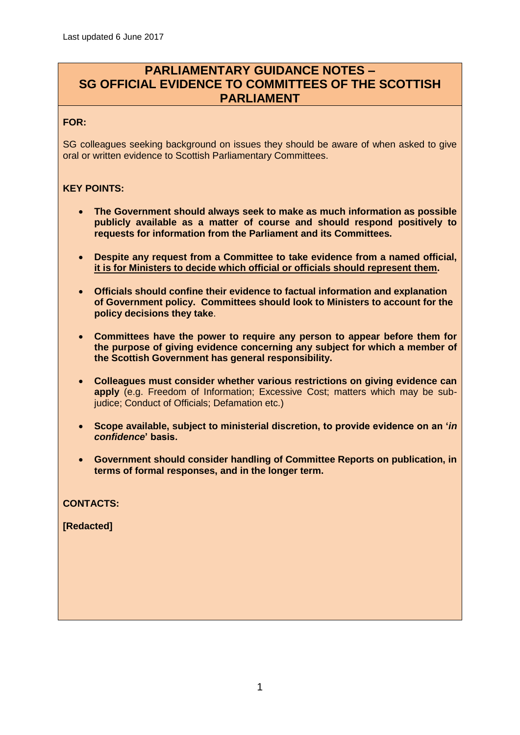# **PARLIAMENTARY GUIDANCE NOTES – SG OFFICIAL EVIDENCE TO COMMITTEES OF THE SCOTTISH PARLIAMENT**

## **FOR:**

SG colleagues seeking background on issues they should be aware of when asked to give oral or written evidence to Scottish Parliamentary Committees.

## **KEY POINTS:**

- **The Government should always seek to make as much information as possible publicly available as a matter of course and should respond positively to requests for information from the Parliament and its Committees.**
- **Despite any request from a Committee to take evidence from a named official, it is for Ministers to decide which official or officials should represent them.**
- **Officials should confine their evidence to factual information and explanation of Government policy. Committees should look to Ministers to account for the policy decisions they take**.
- **Committees have the power to require any person to appear before them for the purpose of giving evidence concerning any subject for which a member of the Scottish Government has general responsibility.**
- **Colleagues must consider whether various restrictions on giving evidence can apply** (e.g. Freedom of Information; Excessive Cost; matters which may be subjudice; Conduct of Officials; Defamation etc.)
- **Scope available, subject to ministerial discretion, to provide evidence on an '***in confidence***' basis.**
- **Government should consider handling of Committee Reports on publication, in terms of formal responses, and in the longer term.**

**CONTACTS:**

**[Redacted]**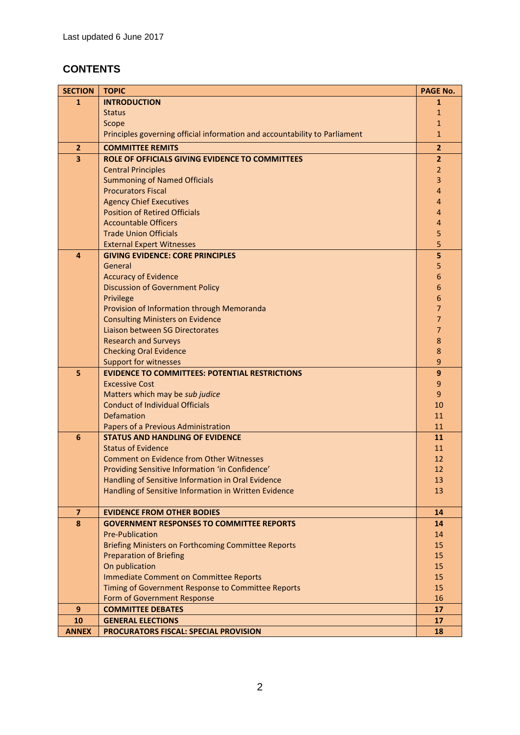# **CONTENTS**

| <b>SECTION</b>          | <b>TOPIC</b>                                                               | <b>PAGE No.</b> |
|-------------------------|----------------------------------------------------------------------------|-----------------|
| 1                       | <b>INTRODUCTION</b>                                                        | 1               |
|                         | <b>Status</b>                                                              | 1               |
|                         | Scope                                                                      | 1               |
|                         | Principles governing official information and accountability to Parliament | $\mathbf{1}$    |
| $\overline{2}$          | <b>COMMITTEE REMITS</b>                                                    | $\mathbf{2}$    |
| $\overline{\mathbf{3}}$ | ROLE OF OFFICIALS GIVING EVIDENCE TO COMMITTEES                            | $\mathbf{2}$    |
|                         | <b>Central Principles</b>                                                  | 2               |
|                         | <b>Summoning of Named Officials</b>                                        | 3               |
|                         | <b>Procurators Fiscal</b>                                                  | 4               |
|                         | <b>Agency Chief Executives</b>                                             | 4               |
|                         | <b>Position of Retired Officials</b>                                       | 4               |
|                         | <b>Accountable Officers</b>                                                | 4               |
|                         | <b>Trade Union Officials</b>                                               | 5               |
|                         | <b>External Expert Witnesses</b>                                           | 5               |
| 4                       | <b>GIVING EVIDENCE: CORE PRINCIPLES</b>                                    | 5               |
|                         | General                                                                    | 5               |
|                         | <b>Accuracy of Evidence</b>                                                | 6               |
|                         | <b>Discussion of Government Policy</b>                                     | 6               |
|                         | Privilege                                                                  | 6               |
|                         | Provision of Information through Memoranda                                 | 7               |
|                         | <b>Consulting Ministers on Evidence</b>                                    | 7               |
|                         | Liaison between SG Directorates                                            | 7               |
|                         | <b>Research and Surveys</b>                                                | 8               |
|                         | <b>Checking Oral Evidence</b>                                              | 8               |
|                         | <b>Support for witnesses</b>                                               | 9               |
| 5                       | <b>EVIDENCE TO COMMITTEES: POTENTIAL RESTRICTIONS</b>                      | 9               |
|                         | <b>Excessive Cost</b>                                                      | 9               |
|                         | Matters which may be sub judice                                            | 9               |
|                         | <b>Conduct of Individual Officials</b>                                     | 10              |
|                         | <b>Defamation</b>                                                          | 11              |
|                         | Papers of a Previous Administration                                        | 11              |
| 6                       | <b>STATUS AND HANDLING OF EVIDENCE</b>                                     | 11              |
|                         | <b>Status of Evidence</b>                                                  | 11              |
|                         | <b>Comment on Evidence from Other Witnesses</b>                            | 12              |
|                         | Providing Sensitive Information 'in Confidence'                            | 12              |
|                         | Handling of Sensitive Information in Oral Evidence                         | 13              |
|                         | Handling of Sensitive Information in Written Evidence                      | 13              |
|                         |                                                                            |                 |
| $\overline{7}$          | <b>EVIDENCE FROM OTHER BODIES</b>                                          | 14              |
| 8                       | <b>GOVERNMENT RESPONSES TO COMMITTEE REPORTS</b>                           | 14              |
|                         | <b>Pre-Publication</b>                                                     | 14              |
|                         | <b>Briefing Ministers on Forthcoming Committee Reports</b>                 | 15              |
|                         | <b>Preparation of Briefing</b>                                             | 15              |
|                         | On publication                                                             | 15              |
|                         | <b>Immediate Comment on Committee Reports</b>                              | 15              |
|                         | Timing of Government Response to Committee Reports                         | 15              |
|                         | Form of Government Response                                                | 16              |
| 9                       | <b>COMMITTEE DEBATES</b>                                                   | 17              |
| 10                      | <b>GENERAL ELECTIONS</b>                                                   | 17              |
| <b>ANNEX</b>            | PROCURATORS FISCAL: SPECIAL PROVISION                                      | 18              |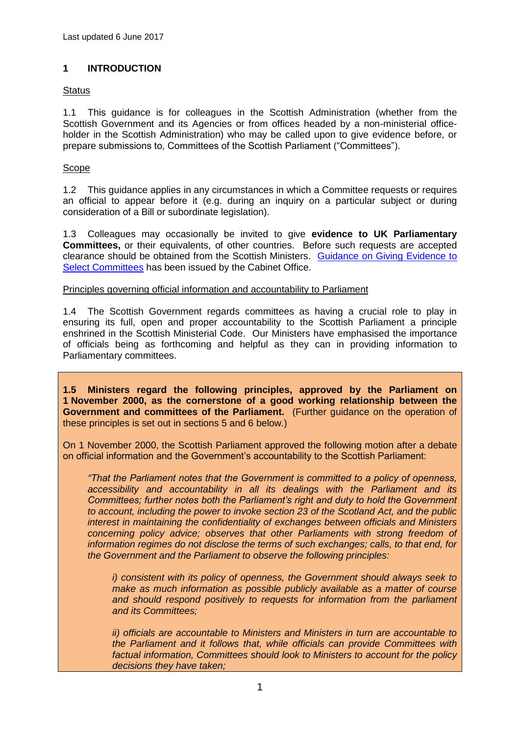# **1 INTRODUCTION**

## **Status**

1.1 This guidance is for colleagues in the Scottish Administration (whether from the Scottish Government and its Agencies or from offices headed by a non-ministerial officeholder in the Scottish Administration) who may be called upon to give evidence before, or prepare submissions to, Committees of the Scottish Parliament ("Committees").

## Scope

1.2 This guidance applies in any circumstances in which a Committee requests or requires an official to appear before it (e.g. during an inquiry on a particular subject or during consideration of a Bill or subordinate legislation).

1.3 Colleagues may occasionally be invited to give **evidence to UK Parliamentary Committees,** or their equivalents, of other countries. Before such requests are accepted clearance should be obtained from the Scottish Ministers. Guidance on [Giving Evidence to](https://www.gov.uk/government/uploads/system/uploads/attachment_data/file/364600/Osmotherly_Rules_October_2014.pdf)  [Select Committees](https://www.gov.uk/government/uploads/system/uploads/attachment_data/file/364600/Osmotherly_Rules_October_2014.pdf) has been issued by the Cabinet Office.

## Principles governing official information and accountability to Parliament

1.4 The Scottish Government regards committees as having a crucial role to play in ensuring its full, open and proper accountability to the Scottish Parliament a principle enshrined in the Scottish Ministerial Code. Our Ministers have emphasised the importance of officials being as forthcoming and helpful as they can in providing information to Parliamentary committees.

**1.5 Ministers regard the following principles, approved by the Parliament on 1 November 2000, as the cornerstone of a good working relationship between the Government and committees of the Parliament.** (Further guidance on the operation of these principles is set out in sections 5 and 6 below.)

On 1 November 2000, the Scottish Parliament approved the following motion after a debate on official information and the Government's accountability to the Scottish Parliament:

*"That the Parliament notes that the Government is committed to a policy of openness, accessibility and accountability in all its dealings with the Parliament and its Committees; further notes both the Parliament's right and duty to hold the Government to account, including the power to invoke section 23 of the Scotland Act, and the public interest in maintaining the confidentiality of exchanges between officials and Ministers concerning policy advice; observes that other Parliaments with strong freedom of information regimes do not disclose the terms of such exchanges; calls, to that end, for the Government and the Parliament to observe the following principles:*

*i) consistent with its policy of openness, the Government should always seek to make as much information as possible publicly available as a matter of course and should respond positively to requests for information from the parliament and its Committees;*

*ii) officials are accountable to Ministers and Ministers in turn are accountable to the Parliament and it follows that, while officials can provide Committees with factual information, Committees should look to Ministers to account for the policy decisions they have taken;*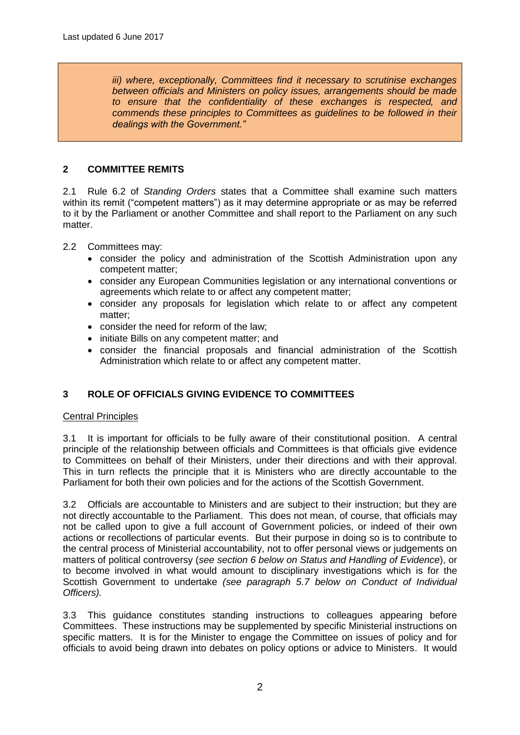*iii) where, exceptionally, Committees find it necessary to scrutinise exchanges between officials and Ministers on policy issues, arrangements should be made to ensure that the confidentiality of these exchanges is respected, and commends these principles to Committees as quidelines to be followed in their dealings with the Government."*

## **2 COMMITTEE REMITS**

2.1 Rule 6.2 of *Standing Orders* states that a Committee shall examine such matters within its remit ("competent matters") as it may determine appropriate or as may be referred to it by the Parliament or another Committee and shall report to the Parliament on any such matter.

- 2.2 Committees may:
	- consider the policy and administration of the Scottish Administration upon any competent matter;
	- consider any European Communities legislation or any international conventions or agreements which relate to or affect any competent matter;
	- consider any proposals for legislation which relate to or affect any competent matter;
	- consider the need for reform of the law;
	- initiate Bills on any competent matter; and
	- consider the financial proposals and financial administration of the Scottish Administration which relate to or affect any competent matter.

## **3 ROLE OF OFFICIALS GIVING EVIDENCE TO COMMITTEES**

## Central Principles

3.1 It is important for officials to be fully aware of their constitutional position. A central principle of the relationship between officials and Committees is that officials give evidence to Committees on behalf of their Ministers, under their directions and with their approval. This in turn reflects the principle that it is Ministers who are directly accountable to the Parliament for both their own policies and for the actions of the Scottish Government.

3.2 Officials are accountable to Ministers and are subject to their instruction; but they are not directly accountable to the Parliament. This does not mean, of course, that officials may not be called upon to give a full account of Government policies, or indeed of their own actions or recollections of particular events. But their purpose in doing so is to contribute to the central process of Ministerial accountability, not to offer personal views or judgements on matters of political controversy (*see section 6 below on Status and Handling of Evidence*), or to become involved in what would amount to disciplinary investigations which is for the Scottish Government to undertake *(see paragraph 5.7 below on Conduct of Individual Officers).*

3.3 This guidance constitutes standing instructions to colleagues appearing before Committees. These instructions may be supplemented by specific Ministerial instructions on specific matters. It is for the Minister to engage the Committee on issues of policy and for officials to avoid being drawn into debates on policy options or advice to Ministers. It would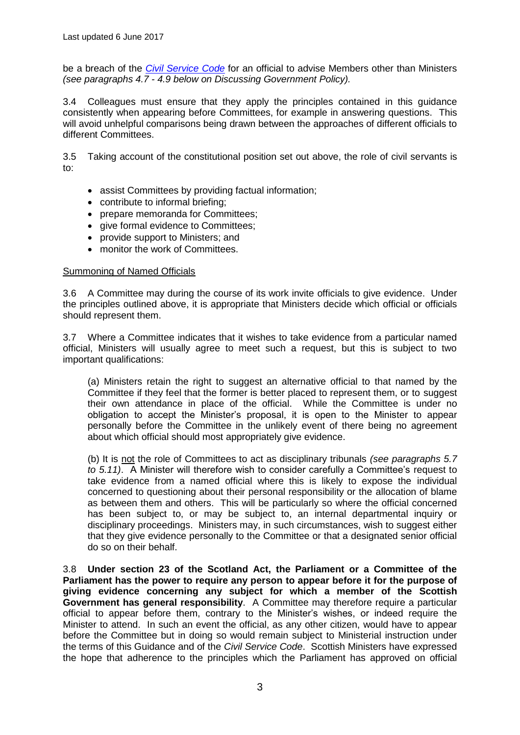be a breach of the *[Civil Service Code](https://beta.gov.scot/publications/civil-service-code/)* for an official to advise Members other than Ministers *(see paragraphs 4.7 - 4.9 below on Discussing Government Policy).*

3.4 Colleagues must ensure that they apply the principles contained in this guidance consistently when appearing before Committees, for example in answering questions. This will avoid unhelpful comparisons being drawn between the approaches of different officials to different Committees.

3.5 Taking account of the constitutional position set out above, the role of civil servants is to:

- assist Committees by providing factual information:
- contribute to informal briefing;
- prepare memoranda for Committees;
- give formal evidence to Committees:
- provide support to Ministers; and
- monitor the work of Committees.

#### Summoning of Named Officials

3.6 A Committee may during the course of its work invite officials to give evidence. Under the principles outlined above, it is appropriate that Ministers decide which official or officials should represent them.

3.7 Where a Committee indicates that it wishes to take evidence from a particular named official, Ministers will usually agree to meet such a request, but this is subject to two important qualifications:

(a) Ministers retain the right to suggest an alternative official to that named by the Committee if they feel that the former is better placed to represent them, or to suggest their own attendance in place of the official. While the Committee is under no obligation to accept the Minister's proposal, it is open to the Minister to appear personally before the Committee in the unlikely event of there being no agreement about which official should most appropriately give evidence.

(b) It is not the role of Committees to act as disciplinary tribunals *(see paragraphs 5.7 to 5.11)*. A Minister will therefore wish to consider carefully a Committee's request to take evidence from a named official where this is likely to expose the individual concerned to questioning about their personal responsibility or the allocation of blame as between them and others. This will be particularly so where the official concerned has been subject to, or may be subject to, an internal departmental inquiry or disciplinary proceedings. Ministers may, in such circumstances, wish to suggest either that they give evidence personally to the Committee or that a designated senior official do so on their behalf.

3.8 **Under section 23 of the Scotland Act, the Parliament or a Committee of the Parliament has the power to require any person to appear before it for the purpose of giving evidence concerning any subject for which a member of the Scottish Government has general responsibility**. A Committee may therefore require a particular official to appear before them, contrary to the Minister's wishes, or indeed require the Minister to attend. In such an event the official, as any other citizen, would have to appear before the Committee but in doing so would remain subject to Ministerial instruction under the terms of this Guidance and of the *Civil Service Code*. Scottish Ministers have expressed the hope that adherence to the principles which the Parliament has approved on official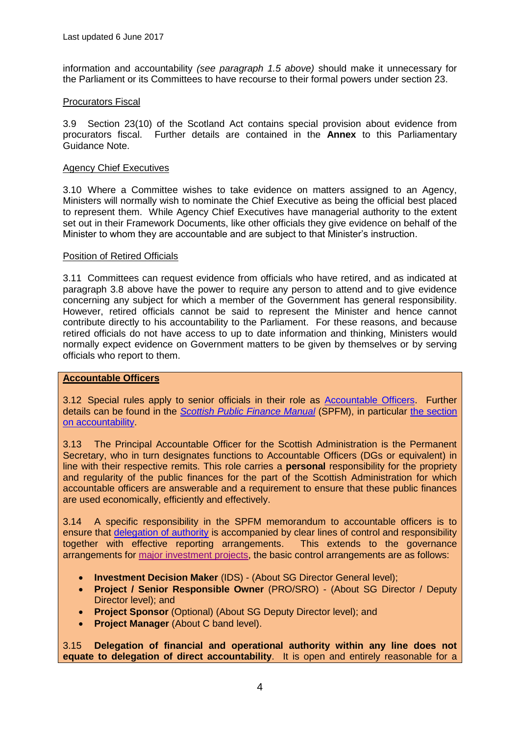information and accountability *(see paragraph 1.5 above)* should make it unnecessary for the Parliament or its Committees to have recourse to their formal powers under section 23.

#### Procurators Fiscal

3.9 Section 23(10) of the Scotland Act contains special provision about evidence from procurators fiscal. Further details are contained in the **Annex** to this Parliamentary Guidance Note.

## Agency Chief Executives

3.10 Where a Committee wishes to take evidence on matters assigned to an Agency, Ministers will normally wish to nominate the Chief Executive as being the official best placed to represent them. While Agency Chief Executives have managerial authority to the extent set out in their Framework Documents, like other officials they give evidence on behalf of the Minister to whom they are accountable and are subject to that Minister's instruction.

#### Position of Retired Officials

3.11 Committees can request evidence from officials who have retired, and as indicated at paragraph 3.8 above have the power to require any person to attend and to give evidence concerning any subject for which a member of the Government has general responsibility. However, retired officials cannot be said to represent the Minister and hence cannot contribute directly to his accountability to the Parliament. For these reasons, and because retired officials do not have access to up to date information and thinking, Ministers would normally expect evidence on Government matters to be given by themselves or by serving officials who report to them.

## **Accountable Officers**

3.12 Special rules apply to senior officials in their role as Accountable Officers. Further details can be found in the *Scottish Public Finance Manual* (SPFM), in particular the section on accountability.

3.13 The Principal Accountable Officer for the Scottish Administration is the Permanent Secretary, who in turn designates functions to Accountable Officers (DGs or equivalent) in line with their respective remits. This role carries a **personal** responsibility for the propriety and regularity of the public finances for the part of the Scottish Administration for which accountable officers are answerable and a requirement to ensure that these public finances are used economically, efficiently and effectively.

3.14 A specific responsibility in the SPFM memorandum to accountable officers is to ensure that delegation of authority is accompanied by clear lines of control and responsibility together with effective reporting arrangements. This extends to the governance arrangements for [major investment projects,](http://www.gov.scot/Topics/Government/Finance/spfm/majinvest) the basic control arrangements are as follows:

- **Investment Decision Maker** (IDS) (About SG Director General level);
- **Project / Senior Responsible Owner** (PRO/SRO) (About SG Director / Deputy Director level); and
- **Project Sponsor** (Optional) (About SG Deputy Director level); and
- **Project Manager** (About C band level).

3.15 **Delegation of financial and operational authority within any line does not equate to delegation of direct accountability**. It is open and entirely reasonable for a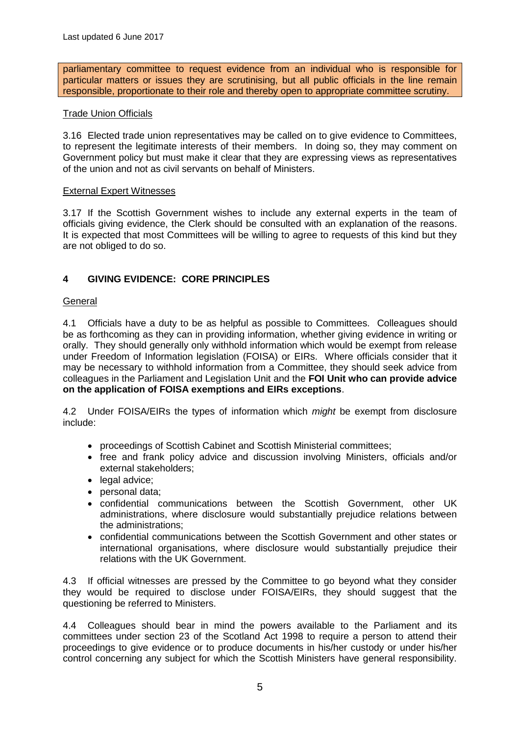parliamentary committee to request evidence from an individual who is responsible for particular matters or issues they are scrutinising, but all public officials in the line remain responsible, proportionate to their role and thereby open to appropriate committee scrutiny.

### Trade Union Officials

3.16 Elected trade union representatives may be called on to give evidence to Committees, to represent the legitimate interests of their members. In doing so, they may comment on Government policy but must make it clear that they are expressing views as representatives of the union and not as civil servants on behalf of Ministers.

#### External Expert Witnesses

3.17 If the Scottish Government wishes to include any external experts in the team of officials giving evidence, the Clerk should be consulted with an explanation of the reasons. It is expected that most Committees will be willing to agree to requests of this kind but they are not obliged to do so.

## **4 GIVING EVIDENCE: CORE PRINCIPLES**

#### **General**

4.1 Officials have a duty to be as helpful as possible to Committees. Colleagues should be as forthcoming as they can in providing information, whether giving evidence in writing or orally. They should generally only withhold information which would be exempt from release under Freedom of Information legislation (FOISA) or EIRs. Where officials consider that it may be necessary to withhold information from a Committee, they should seek advice from colleagues in the Parliament and Legislation Unit and the **FOI Unit who can provide advice on the application of FOISA exemptions and EIRs exceptions**.

4.2 Under FOISA/EIRs the types of information which *might* be exempt from disclosure include:

- proceedings of Scottish Cabinet and Scottish Ministerial committees;
- free and frank policy advice and discussion involving Ministers, officials and/or external stakeholders;
- legal advice:
- personal data;
- confidential communications between the Scottish Government, other UK administrations, where disclosure would substantially prejudice relations between the administrations;
- confidential communications between the Scottish Government and other states or international organisations, where disclosure would substantially prejudice their relations with the UK Government.

4.3 If official witnesses are pressed by the Committee to go beyond what they consider they would be required to disclose under FOISA/EIRs, they should suggest that the questioning be referred to Ministers.

4.4 Colleagues should bear in mind the powers available to the Parliament and its committees under section 23 of the Scotland Act 1998 to require a person to attend their proceedings to give evidence or to produce documents in his/her custody or under his/her control concerning any subject for which the Scottish Ministers have general responsibility.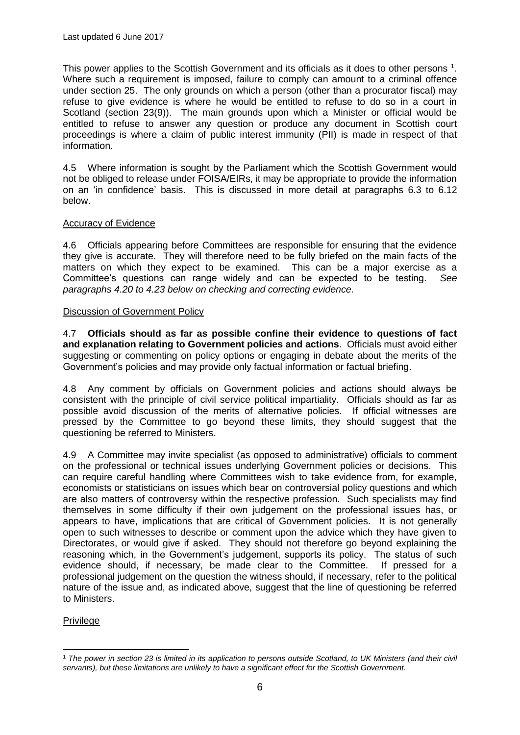This power applies to the Scottish Government and its officials as it does to other persons <sup>1</sup>. Where such a requirement is imposed, failure to comply can amount to a criminal offence under section 25. The only grounds on which a person (other than a procurator fiscal) may refuse to give evidence is where he would be entitled to refuse to do so in a court in Scotland (section 23(9)). The main grounds upon which a Minister or official would be entitled to refuse to answer any question or produce any document in Scottish court proceedings is where a claim of public interest immunity (PII) is made in respect of that information.

4.5 Where information is sought by the Parliament which the Scottish Government would not be obliged to release under FOISA/EIRs, it may be appropriate to provide the information on an 'in confidence' basis. This is discussed in more detail at paragraphs 6.3 to 6.12 below.

## Accuracy of Evidence

4.6 Officials appearing before Committees are responsible for ensuring that the evidence they give is accurate. They will therefore need to be fully briefed on the main facts of the matters on which they expect to be examined. This can be a major exercise as a Committee's questions can range widely and can be expected to be testing. *See paragraphs 4.20 to 4.23 below on checking and correcting evidence*.

## Discussion of Government Policy

4.7 **Officials should as far as possible confine their evidence to questions of fact and explanation relating to Government policies and actions**. Officials must avoid either suggesting or commenting on policy options or engaging in debate about the merits of the Government's policies and may provide only factual information or factual briefing.

4.8 Any comment by officials on Government policies and actions should always be consistent with the principle of civil service political impartiality. Officials should as far as possible avoid discussion of the merits of alternative policies. If official witnesses are pressed by the Committee to go beyond these limits, they should suggest that the questioning be referred to Ministers.

4.9 A Committee may invite specialist (as opposed to administrative) officials to comment on the professional or technical issues underlying Government policies or decisions. This can require careful handling where Committees wish to take evidence from, for example, economists or statisticians on issues which bear on controversial policy questions and which are also matters of controversy within the respective profession. Such specialists may find themselves in some difficulty if their own judgement on the professional issues has, or appears to have, implications that are critical of Government policies. It is not generally open to such witnesses to describe or comment upon the advice which they have given to Directorates, or would give if asked. They should not therefore go beyond explaining the reasoning which, in the Government's judgement, supports its policy. The status of such evidence should, if necessary, be made clear to the Committee. If pressed for a professional judgement on the question the witness should, if necessary, refer to the political nature of the issue and, as indicated above, suggest that the line of questioning be referred to Ministers.

## **Privilege**

<sup>1</sup> <sup>1</sup> *The power in section 23 is limited in its application to persons outside Scotland, to UK Ministers (and their civil servants), but these limitations are unlikely to have a significant effect for the Scottish Government.*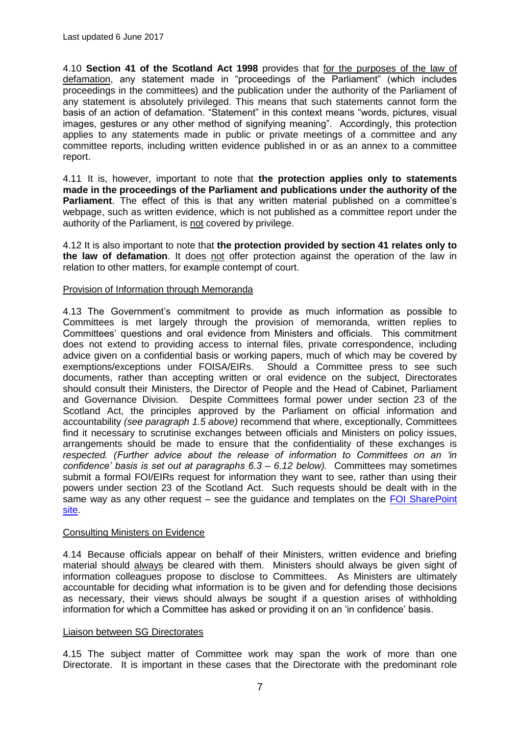4.10 **Section 41 of the Scotland Act 1998** provides that for the purposes of the law of defamation, any statement made in "proceedings of the Parliament" (which includes proceedings in the committees) and the publication under the authority of the Parliament of any statement is absolutely privileged. This means that such statements cannot form the basis of an action of defamation. "Statement" in this context means "words, pictures, visual images, gestures or any other method of signifying meaning". Accordingly, this protection applies to any statements made in public or private meetings of a committee and any committee reports, including written evidence published in or as an annex to a committee report.

4.11 It is, however, important to note that **the protection applies only to statements made in the proceedings of the Parliament and publications under the authority of the Parliament**. The effect of this is that any written material published on a committee's webpage, such as written evidence, which is not published as a committee report under the authority of the Parliament, is not covered by privilege.

4.12 It is also important to note that **the protection provided by section 41 relates only to the law of defamation**. It does not offer protection against the operation of the law in relation to other matters, for example contempt of court.

## Provision of Information through Memoranda

4.13 The Government's commitment to provide as much information as possible to Committees is met largely through the provision of memoranda, written replies to Committees' questions and oral evidence from Ministers and officials. This commitment does not extend to providing access to internal files, private correspondence, including advice given on a confidential basis or working papers, much of which may be covered by exemptions/exceptions under FOISA/EIRs. Should a Committee press to see such documents, rather than accepting written or oral evidence on the subject, Directorates should consult their Ministers, the Director of People and the Head of Cabinet, Parliament and Governance Division. Despite Committees formal power under section 23 of the Scotland Act, the principles approved by the Parliament on official information and accountability *(see paragraph 1.5 above)* recommend that where, exceptionally, Committees find it necessary to scrutinise exchanges between officials and Ministers on policy issues, arrangements should be made to ensure that the confidentiality of these exchanges is *respected. (Further advice about the release of information to Committees on an 'in confidence' basis is set out at paragraphs 6.3 – 6.12 below).* Committees may sometimes submit a formal FOI/EIRs request for information they want to see, rather than using their powers under section 23 of the Scotland Act. Such requests should be dealt with in the same way as any other request – see the guidance and templates on the FOI SharePoint site.

## Consulting Ministers on Evidence

4.14 Because officials appear on behalf of their Ministers, written evidence and briefing material should always be cleared with them. Ministers should always be given sight of information colleagues propose to disclose to Committees. As Ministers are ultimately accountable for deciding what information is to be given and for defending those decisions as necessary, their views should always be sought if a question arises of withholding information for which a Committee has asked or providing it on an 'in confidence' basis.

## Liaison between SG Directorates

4.15 The subject matter of Committee work may span the work of more than one Directorate. It is important in these cases that the Directorate with the predominant role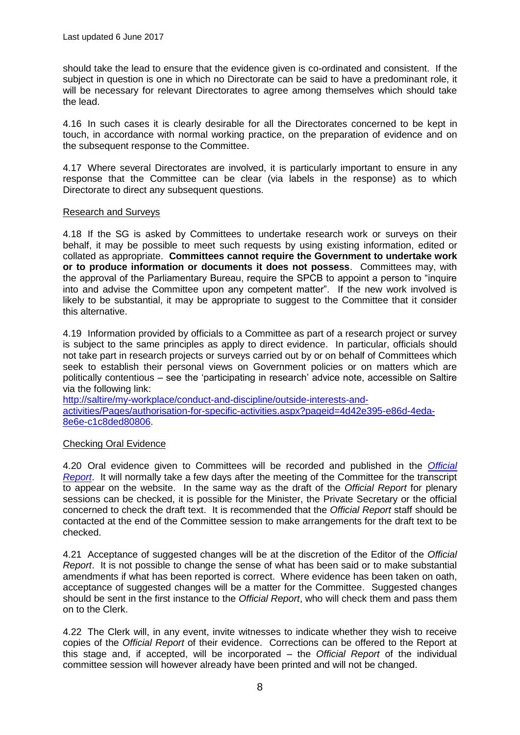should take the lead to ensure that the evidence given is co-ordinated and consistent. If the subject in question is one in which no Directorate can be said to have a predominant role, it will be necessary for relevant Directorates to agree among themselves which should take the lead.

4.16 In such cases it is clearly desirable for all the Directorates concerned to be kept in touch, in accordance with normal working practice, on the preparation of evidence and on the subsequent response to the Committee.

4.17 Where several Directorates are involved, it is particularly important to ensure in any response that the Committee can be clear (via labels in the response) as to which Directorate to direct any subsequent questions.

## Research and Surveys

4.18 If the SG is asked by Committees to undertake research work or surveys on their behalf, it may be possible to meet such requests by using existing information, edited or collated as appropriate. **Committees cannot require the Government to undertake work or to produce information or documents it does not possess**. Committees may, with the approval of the Parliamentary Bureau, require the SPCB to appoint a person to "inquire into and advise the Committee upon any competent matter". If the new work involved is likely to be substantial, it may be appropriate to suggest to the Committee that it consider this alternative.

4.19 Information provided by officials to a Committee as part of a research project or survey is subject to the same principles as apply to direct evidence. In particular, officials should not take part in research projects or surveys carried out by or on behalf of Committees which seek to establish their personal views on Government policies or on matters which are politically contentious – see the 'participating in research' advice note, accessible on Saltire via the following link:

http://saltire/my-workplace/conduct-and-discipline/outside-interests-andactivities/Pages/authorisation-for-specific-activities.aspx?pageid=4d42e395-e86d-4eda-8e6e-c1c8ded80806.

## Checking Oral Evidence

4.20 Oral evidence given to Committees will be recorded and published in the *[Official](http://www.parliament.scot/parliamentarybusiness/ormain.aspx) [Report](http://www.parliament.scot/parliamentarybusiness/ormain.aspx)*. It will normally take a few days after the meeting of the Committee for the transcript to appear on the website. In the same way as the draft of the *Official Report* for plenary sessions can be checked, it is possible for the Minister, the Private Secretary or the official concerned to check the draft text. It is recommended that the *Official Report* staff should be contacted at the end of the Committee session to make arrangements for the draft text to be checked.

4.21 Acceptance of suggested changes will be at the discretion of the Editor of the *Official Report*. It is not possible to change the sense of what has been said or to make substantial amendments if what has been reported is correct. Where evidence has been taken on oath, acceptance of suggested changes will be a matter for the Committee. Suggested changes should be sent in the first instance to the *Official Report*, who will check them and pass them on to the Clerk.

4.22 The Clerk will, in any event, invite witnesses to indicate whether they wish to receive copies of the *Official Report* of their evidence. Corrections can be offered to the Report at this stage and, if accepted, will be incorporated – the *Official Report* of the individual committee session will however already have been printed and will not be changed.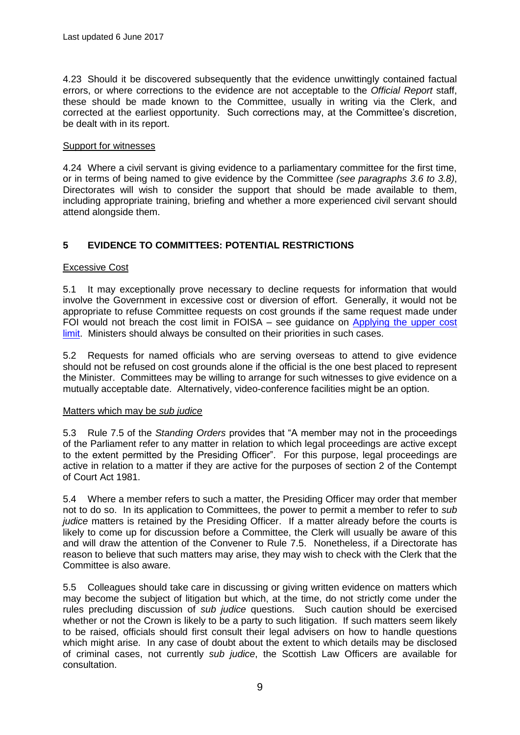4.23 Should it be discovered subsequently that the evidence unwittingly contained factual errors, or where corrections to the evidence are not acceptable to the *Official Report* staff, these should be made known to the Committee, usually in writing via the Clerk, and corrected at the earliest opportunity. Such corrections may, at the Committee's discretion, be dealt with in its report.

### Support for witnesses

4.24 Where a civil servant is giving evidence to a parliamentary committee for the first time, or in terms of being named to give evidence by the Committee *(see paragraphs 3.6 to 3.8)*, Directorates will wish to consider the support that should be made available to them, including appropriate training, briefing and whether a more experienced civil servant should attend alongside them.

## **5 EVIDENCE TO COMMITTEES: POTENTIAL RESTRICTIONS**

## Excessive Cost

5.1 It may exceptionally prove necessary to decline requests for information that would involve the Government in excessive cost or diversion of effort. Generally, it would not be appropriate to refuse Committee requests on cost grounds if the same request made under FOI would not breach the cost limit in FOISA – see guidance on Applying the upper cost limit. Ministers should always be consulted on their priorities in such cases.

5.2 Requests for named officials who are serving overseas to attend to give evidence should not be refused on cost grounds alone if the official is the one best placed to represent the Minister. Committees may be willing to arrange for such witnesses to give evidence on a mutually acceptable date. Alternatively, video-conference facilities might be an option.

#### Matters which may be *sub judice*

5.3 Rule 7.5 of the *Standing Orders* provides that "A member may not in the proceedings of the Parliament refer to any matter in relation to which legal proceedings are active except to the extent permitted by the Presiding Officer". For this purpose, legal proceedings are active in relation to a matter if they are active for the purposes of section 2 of the Contempt of Court Act 1981.

5.4 Where a member refers to such a matter, the Presiding Officer may order that member not to do so. In its application to Committees, the power to permit a member to refer to *sub judice* matters is retained by the Presiding Officer. If a matter already before the courts is likely to come up for discussion before a Committee, the Clerk will usually be aware of this and will draw the attention of the Convener to Rule 7.5. Nonetheless, if a Directorate has reason to believe that such matters may arise, they may wish to check with the Clerk that the Committee is also aware.

5.5 Colleagues should take care in discussing or giving written evidence on matters which may become the subject of litigation but which, at the time, do not strictly come under the rules precluding discussion of *sub judice* questions. Such caution should be exercised whether or not the Crown is likely to be a party to such litigation. If such matters seem likely to be raised, officials should first consult their legal advisers on how to handle questions which might arise. In any case of doubt about the extent to which details may be disclosed of criminal cases, not currently *sub judice*, the Scottish Law Officers are available for consultation.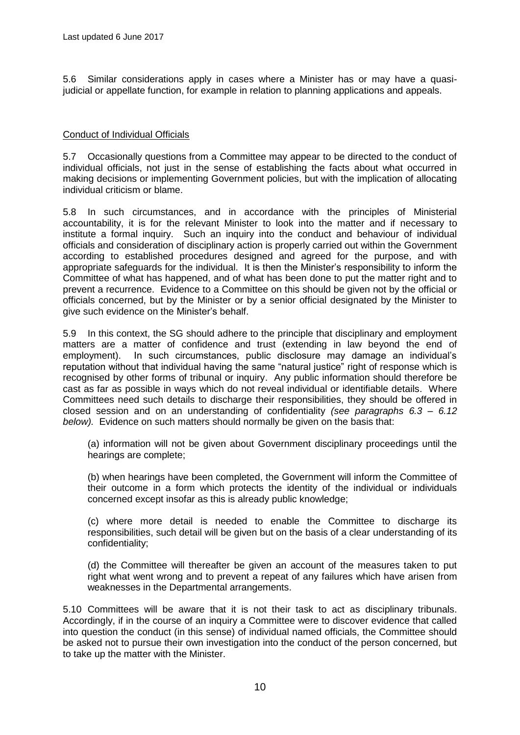5.6 Similar considerations apply in cases where a Minister has or may have a quasijudicial or appellate function, for example in relation to planning applications and appeals.

## Conduct of Individual Officials

5.7 Occasionally questions from a Committee may appear to be directed to the conduct of individual officials, not just in the sense of establishing the facts about what occurred in making decisions or implementing Government policies, but with the implication of allocating individual criticism or blame.

5.8 In such circumstances, and in accordance with the principles of Ministerial accountability, it is for the relevant Minister to look into the matter and if necessary to institute a formal inquiry. Such an inquiry into the conduct and behaviour of individual officials and consideration of disciplinary action is properly carried out within the Government according to established procedures designed and agreed for the purpose, and with appropriate safeguards for the individual. It is then the Minister's responsibility to inform the Committee of what has happened, and of what has been done to put the matter right and to prevent a recurrence. Evidence to a Committee on this should be given not by the official or officials concerned, but by the Minister or by a senior official designated by the Minister to give such evidence on the Minister's behalf.

5.9 In this context, the SG should adhere to the principle that disciplinary and employment matters are a matter of confidence and trust (extending in law beyond the end of employment). In such circumstances, public disclosure may damage an individual's reputation without that individual having the same "natural justice" right of response which is recognised by other forms of tribunal or inquiry. Any public information should therefore be cast as far as possible in ways which do not reveal individual or identifiable details. Where Committees need such details to discharge their responsibilities, they should be offered in closed session and on an understanding of confidentiality *(see paragraphs 6.3 – 6.12 below).* Evidence on such matters should normally be given on the basis that:

(a) information will not be given about Government disciplinary proceedings until the hearings are complete;

(b) when hearings have been completed, the Government will inform the Committee of their outcome in a form which protects the identity of the individual or individuals concerned except insofar as this is already public knowledge;

(c) where more detail is needed to enable the Committee to discharge its responsibilities, such detail will be given but on the basis of a clear understanding of its confidentiality;

(d) the Committee will thereafter be given an account of the measures taken to put right what went wrong and to prevent a repeat of any failures which have arisen from weaknesses in the Departmental arrangements.

5.10 Committees will be aware that it is not their task to act as disciplinary tribunals. Accordingly, if in the course of an inquiry a Committee were to discover evidence that called into question the conduct (in this sense) of individual named officials, the Committee should be asked not to pursue their own investigation into the conduct of the person concerned, but to take up the matter with the Minister.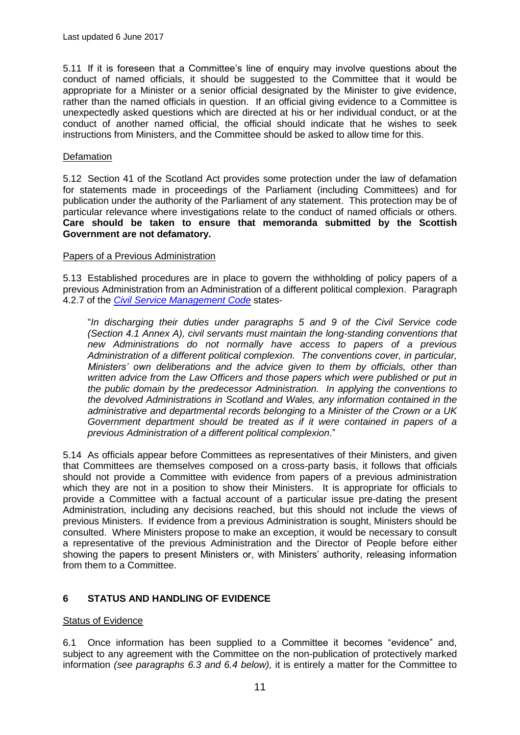5.11 If it is foreseen that a Committee's line of enquiry may involve questions about the conduct of named officials, it should be suggested to the Committee that it would be appropriate for a Minister or a senior official designated by the Minister to give evidence, rather than the named officials in question. If an official giving evidence to a Committee is unexpectedly asked questions which are directed at his or her individual conduct, or at the conduct of another named official, the official should indicate that he wishes to seek instructions from Ministers, and the Committee should be asked to allow time for this.

## **Defamation**

5.12 Section 41 of the Scotland Act provides some protection under the law of defamation for statements made in proceedings of the Parliament (including Committees) and for publication under the authority of the Parliament of any statement. This protection may be of particular relevance where investigations relate to the conduct of named officials or others. **Care should be taken to ensure that memoranda submitted by the Scottish Government are not defamatory.**

## Papers of a Previous Administration

5.13 Established procedures are in place to govern the withholding of policy papers of a previous Administration from an Administration of a different political complexion. Paragraph 4.2.7 of the *Civil Service Management Code* states-

"*In discharging their duties under paragraphs 5 and 9 of the Civil Service code (Section 4.1 Annex A), civil servants must maintain the long-standing conventions that new Administrations do not normally have access to papers of a previous Administration of a different political complexion. The conventions cover, in particular, Ministers' own deliberations and the advice given to them by officials, other than written advice from the Law Officers and those papers which were published or put in the public domain by the predecessor Administration. In applying the conventions to the devolved Administrations in Scotland and Wales, any information contained in the administrative and departmental records belonging to a Minister of the Crown or a UK Government department should be treated as if it were contained in papers of a previous Administration of a different political complexion*."

5.14 As officials appear before Committees as representatives of their Ministers, and given that Committees are themselves composed on a cross-party basis, it follows that officials should not provide a Committee with evidence from papers of a previous administration which they are not in a position to show their Ministers. It is appropriate for officials to provide a Committee with a factual account of a particular issue pre-dating the present Administration, including any decisions reached, but this should not include the views of previous Ministers. If evidence from a previous Administration is sought, Ministers should be consulted. Where Ministers propose to make an exception, it would be necessary to consult a representative of the previous Administration and the Director of People before either showing the papers to present Ministers or, with Ministers' authority, releasing information from them to a Committee.

## **6 STATUS AND HANDLING OF EVIDENCE**

## Status of Evidence

6.1 Once information has been supplied to a Committee it becomes "evidence" and, subject to any agreement with the Committee on the non-publication of protectively marked information *(see paragraphs 6.3 and 6.4 below),* it is entirely a matter for the Committee to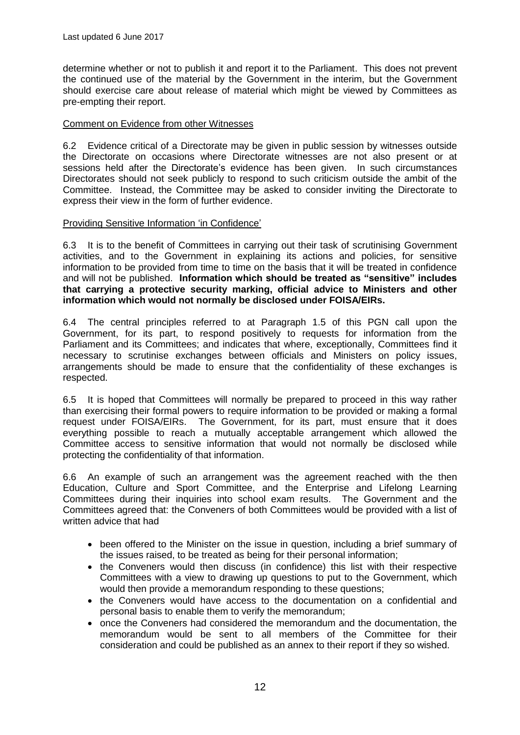determine whether or not to publish it and report it to the Parliament. This does not prevent the continued use of the material by the Government in the interim, but the Government should exercise care about release of material which might be viewed by Committees as pre-empting their report.

## Comment on Evidence from other Witnesses

6.2 Evidence critical of a Directorate may be given in public session by witnesses outside the Directorate on occasions where Directorate witnesses are not also present or at sessions held after the Directorate's evidence has been given. In such circumstances Directorates should not seek publicly to respond to such criticism outside the ambit of the Committee. Instead, the Committee may be asked to consider inviting the Directorate to express their view in the form of further evidence.

## Providing Sensitive Information 'in Confidence'

6.3 It is to the benefit of Committees in carrying out their task of scrutinising Government activities, and to the Government in explaining its actions and policies, for sensitive information to be provided from time to time on the basis that it will be treated in confidence and will not be published. **Information which should be treated as "sensitive" includes that carrying a protective security marking, official advice to Ministers and other information which would not normally be disclosed under FOISA/EIRs.**

6.4 The central principles referred to at Paragraph 1.5 of this PGN call upon the Government, for its part, to respond positively to requests for information from the Parliament and its Committees; and indicates that where, exceptionally, Committees find it necessary to scrutinise exchanges between officials and Ministers on policy issues, arrangements should be made to ensure that the confidentiality of these exchanges is respected.

6.5 It is hoped that Committees will normally be prepared to proceed in this way rather than exercising their formal powers to require information to be provided or making a formal request under FOISA/EIRs. The Government, for its part, must ensure that it does everything possible to reach a mutually acceptable arrangement which allowed the Committee access to sensitive information that would not normally be disclosed while protecting the confidentiality of that information.

6.6 An example of such an arrangement was the agreement reached with the then Education, Culture and Sport Committee, and the Enterprise and Lifelong Learning Committees during their inquiries into school exam results. The Government and the Committees agreed that: the Conveners of both Committees would be provided with a list of written advice that had

- been offered to the Minister on the issue in question, including a brief summary of the issues raised, to be treated as being for their personal information;
- the Conveners would then discuss (in confidence) this list with their respective Committees with a view to drawing up questions to put to the Government, which would then provide a memorandum responding to these questions;
- the Conveners would have access to the documentation on a confidential and personal basis to enable them to verify the memorandum;
- once the Conveners had considered the memorandum and the documentation, the memorandum would be sent to all members of the Committee for their consideration and could be published as an annex to their report if they so wished.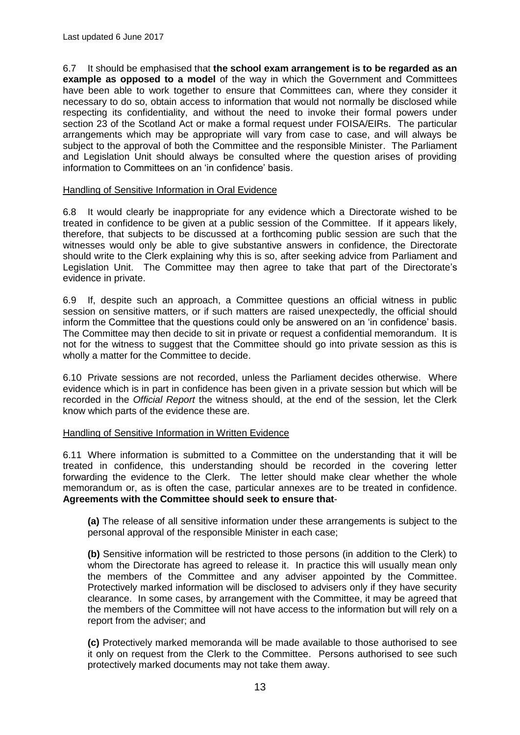6.7 It should be emphasised that **the school exam arrangement is to be regarded as an example as opposed to a model** of the way in which the Government and Committees have been able to work together to ensure that Committees can, where they consider it necessary to do so, obtain access to information that would not normally be disclosed while respecting its confidentiality, and without the need to invoke their formal powers under section 23 of the Scotland Act or make a formal request under FOISA/EIRs. The particular arrangements which may be appropriate will vary from case to case, and will always be subject to the approval of both the Committee and the responsible Minister. The Parliament and Legislation Unit should always be consulted where the question arises of providing information to Committees on an 'in confidence' basis.

## Handling of Sensitive Information in Oral Evidence

6.8 It would clearly be inappropriate for any evidence which a Directorate wished to be treated in confidence to be given at a public session of the Committee. If it appears likely, therefore, that subjects to be discussed at a forthcoming public session are such that the witnesses would only be able to give substantive answers in confidence, the Directorate should write to the Clerk explaining why this is so, after seeking advice from Parliament and Legislation Unit. The Committee may then agree to take that part of the Directorate's evidence in private.

6.9 If, despite such an approach, a Committee questions an official witness in public session on sensitive matters, or if such matters are raised unexpectedly, the official should inform the Committee that the questions could only be answered on an 'in confidence' basis. The Committee may then decide to sit in private or request a confidential memorandum. It is not for the witness to suggest that the Committee should go into private session as this is wholly a matter for the Committee to decide.

6.10 Private sessions are not recorded, unless the Parliament decides otherwise. Where evidence which is in part in confidence has been given in a private session but which will be recorded in the *Official Report* the witness should, at the end of the session, let the Clerk know which parts of the evidence these are.

## Handling of Sensitive Information in Written Evidence

6.11 Where information is submitted to a Committee on the understanding that it will be treated in confidence, this understanding should be recorded in the covering letter forwarding the evidence to the Clerk. The letter should make clear whether the whole memorandum or, as is often the case, particular annexes are to be treated in confidence. **Agreements with the Committee should seek to ensure that**-

**(a)** The release of all sensitive information under these arrangements is subject to the personal approval of the responsible Minister in each case;

**(b)** Sensitive information will be restricted to those persons (in addition to the Clerk) to whom the Directorate has agreed to release it. In practice this will usually mean only the members of the Committee and any adviser appointed by the Committee. Protectively marked information will be disclosed to advisers only if they have security clearance. In some cases, by arrangement with the Committee, it may be agreed that the members of the Committee will not have access to the information but will rely on a report from the adviser; and

**(c)** Protectively marked memoranda will be made available to those authorised to see it only on request from the Clerk to the Committee. Persons authorised to see such protectively marked documents may not take them away.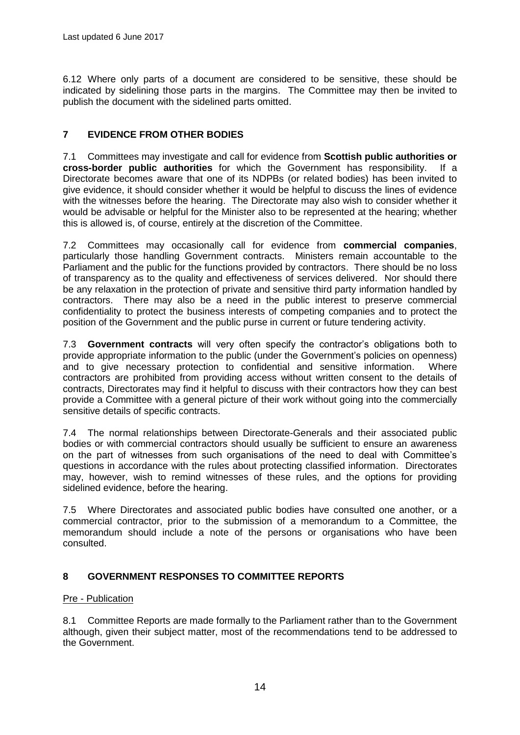6.12 Where only parts of a document are considered to be sensitive, these should be indicated by sidelining those parts in the margins. The Committee may then be invited to publish the document with the sidelined parts omitted.

## **7 EVIDENCE FROM OTHER BODIES**

7.1 Committees may investigate and call for evidence from **Scottish public authorities or cross-border public authorities** for which the Government has responsibility. If a Directorate becomes aware that one of its NDPBs (or related bodies) has been invited to give evidence, it should consider whether it would be helpful to discuss the lines of evidence with the witnesses before the hearing. The Directorate may also wish to consider whether it would be advisable or helpful for the Minister also to be represented at the hearing; whether this is allowed is, of course, entirely at the discretion of the Committee.

7.2 Committees may occasionally call for evidence from **commercial companies**, particularly those handling Government contracts. Ministers remain accountable to the Parliament and the public for the functions provided by contractors. There should be no loss of transparency as to the quality and effectiveness of services delivered. Nor should there be any relaxation in the protection of private and sensitive third party information handled by contractors. There may also be a need in the public interest to preserve commercial confidentiality to protect the business interests of competing companies and to protect the position of the Government and the public purse in current or future tendering activity.

7.3 **Government contracts** will very often specify the contractor's obligations both to provide appropriate information to the public (under the Government's policies on openness) and to give necessary protection to confidential and sensitive information. Where contractors are prohibited from providing access without written consent to the details of contracts, Directorates may find it helpful to discuss with their contractors how they can best provide a Committee with a general picture of their work without going into the commercially sensitive details of specific contracts.

7.4 The normal relationships between Directorate-Generals and their associated public bodies or with commercial contractors should usually be sufficient to ensure an awareness on the part of witnesses from such organisations of the need to deal with Committee's questions in accordance with the rules about protecting classified information. Directorates may, however, wish to remind witnesses of these rules, and the options for providing sidelined evidence, before the hearing.

7.5 Where Directorates and associated public bodies have consulted one another, or a commercial contractor, prior to the submission of a memorandum to a Committee, the memorandum should include a note of the persons or organisations who have been consulted.

## **8 GOVERNMENT RESPONSES TO COMMITTEE REPORTS**

## Pre - Publication

8.1 Committee Reports are made formally to the Parliament rather than to the Government although, given their subject matter, most of the recommendations tend to be addressed to the Government.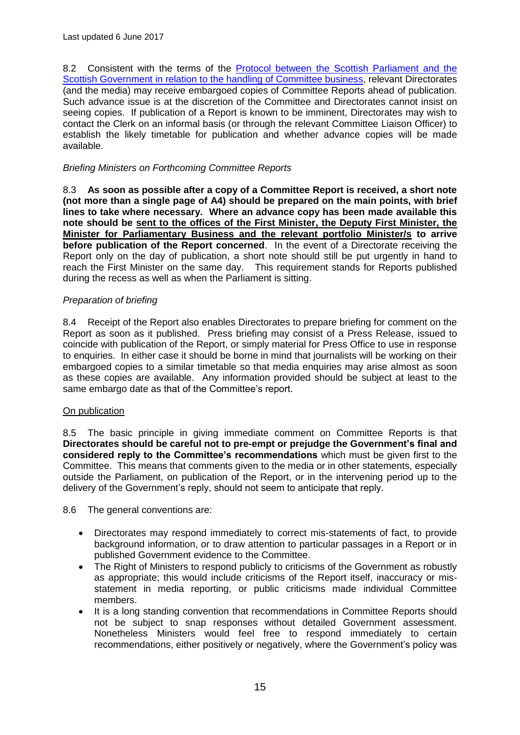8.2 Consistent with the terms of the Protocol between the Scottish Parliament and the Scottish Government in relation to the handling of Committee business, relevant Directorates (and the media) may receive embargoed copies of Committee Reports ahead of publication. Such advance issue is at the discretion of the Committee and Directorates cannot insist on seeing copies. If publication of a Report is known to be imminent, Directorates may wish to contact the Clerk on an informal basis (or through the relevant Committee Liaison Officer) to establish the likely timetable for publication and whether advance copies will be made available.

## *Briefing Ministers on Forthcoming Committee Reports*

8.3 **As soon as possible after a copy of a Committee Report is received, a short note (not more than a single page of A4) should be prepared on the main points, with brief lines to take where necessary. Where an advance copy has been made available this note should be sent to the offices of the First Minister, the Deputy First Minister, the Minister for Parliamentary Business and the relevant portfolio Minister/s to arrive before publication of the Report concerned**. In the event of a Directorate receiving the Report only on the day of publication, a short note should still be put urgently in hand to reach the First Minister on the same day. This requirement stands for Reports published during the recess as well as when the Parliament is sitting.

## *Preparation of briefing*

8.4 Receipt of the Report also enables Directorates to prepare briefing for comment on the Report as soon as it published. Press briefing may consist of a Press Release, issued to coincide with publication of the Report, or simply material for Press Office to use in response to enquiries. In either case it should be borne in mind that journalists will be working on their embargoed copies to a similar timetable so that media enquiries may arise almost as soon as these copies are available. Any information provided should be subject at least to the same embargo date as that of the Committee's report.

## On publication

8.5 The basic principle in giving immediate comment on Committee Reports is that **Directorates should be careful not to pre-empt or prejudge the Government's final and considered reply to the Committee's recommendations** which must be given first to the Committee. This means that comments given to the media or in other statements, especially outside the Parliament, on publication of the Report, or in the intervening period up to the delivery of the Government's reply, should not seem to anticipate that reply.

8.6 The general conventions are:

- Directorates may respond immediately to correct mis-statements of fact, to provide background information, or to draw attention to particular passages in a Report or in published Government evidence to the Committee.
- The Right of Ministers to respond publicly to criticisms of the Government as robustly as appropriate; this would include criticisms of the Report itself, inaccuracy or misstatement in media reporting, or public criticisms made individual Committee members.
- It is a long standing convention that recommendations in Committee Reports should not be subject to snap responses without detailed Government assessment. Nonetheless Ministers would feel free to respond immediately to certain recommendations, either positively or negatively, where the Government's policy was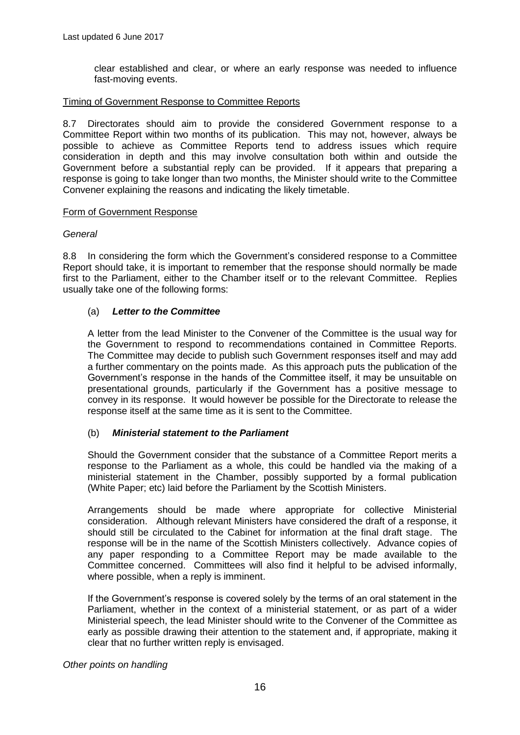clear established and clear, or where an early response was needed to influence fast-moving events.

#### Timing of Government Response to Committee Reports

8.7 Directorates should aim to provide the considered Government response to a Committee Report within two months of its publication. This may not, however, always be possible to achieve as Committee Reports tend to address issues which require consideration in depth and this may involve consultation both within and outside the Government before a substantial reply can be provided. If it appears that preparing a response is going to take longer than two months, the Minister should write to the Committee Convener explaining the reasons and indicating the likely timetable.

#### Form of Government Response

#### *General*

8.8 In considering the form which the Government's considered response to a Committee Report should take, it is important to remember that the response should normally be made first to the Parliament, either to the Chamber itself or to the relevant Committee. Replies usually take one of the following forms:

## (a) *Letter to the Committee*

A letter from the lead Minister to the Convener of the Committee is the usual way for the Government to respond to recommendations contained in Committee Reports. The Committee may decide to publish such Government responses itself and may add a further commentary on the points made. As this approach puts the publication of the Government's response in the hands of the Committee itself, it may be unsuitable on presentational grounds, particularly if the Government has a positive message to convey in its response. It would however be possible for the Directorate to release the response itself at the same time as it is sent to the Committee.

#### (b) *Ministerial statement to the Parliament*

Should the Government consider that the substance of a Committee Report merits a response to the Parliament as a whole, this could be handled via the making of a ministerial statement in the Chamber, possibly supported by a formal publication (White Paper; etc) laid before the Parliament by the Scottish Ministers.

Arrangements should be made where appropriate for collective Ministerial consideration. Although relevant Ministers have considered the draft of a response, it should still be circulated to the Cabinet for information at the final draft stage. The response will be in the name of the Scottish Ministers collectively. Advance copies of any paper responding to a Committee Report may be made available to the Committee concerned. Committees will also find it helpful to be advised informally, where possible, when a reply is imminent.

If the Government's response is covered solely by the terms of an oral statement in the Parliament, whether in the context of a ministerial statement, or as part of a wider Ministerial speech, the lead Minister should write to the Convener of the Committee as early as possible drawing their attention to the statement and, if appropriate, making it clear that no further written reply is envisaged.

*Other points on handling*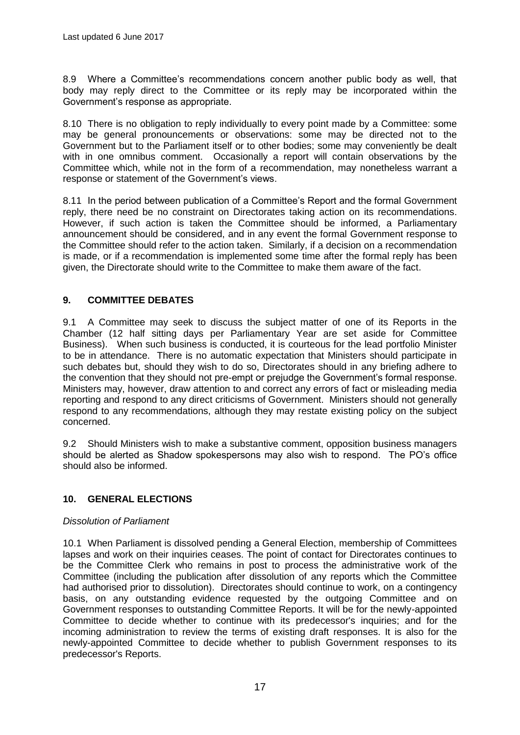8.9 Where a Committee's recommendations concern another public body as well, that body may reply direct to the Committee or its reply may be incorporated within the Government's response as appropriate.

8.10 There is no obligation to reply individually to every point made by a Committee: some may be general pronouncements or observations: some may be directed not to the Government but to the Parliament itself or to other bodies; some may conveniently be dealt with in one omnibus comment. Occasionally a report will contain observations by the Committee which, while not in the form of a recommendation, may nonetheless warrant a response or statement of the Government's views.

8.11 In the period between publication of a Committee's Report and the formal Government reply, there need be no constraint on Directorates taking action on its recommendations. However, if such action is taken the Committee should be informed, a Parliamentary announcement should be considered, and in any event the formal Government response to the Committee should refer to the action taken. Similarly, if a decision on a recommendation is made, or if a recommendation is implemented some time after the formal reply has been given, the Directorate should write to the Committee to make them aware of the fact.

## **9. COMMITTEE DEBATES**

9.1 A Committee may seek to discuss the subject matter of one of its Reports in the Chamber (12 half sitting days per Parliamentary Year are set aside for Committee Business). When such business is conducted, it is courteous for the lead portfolio Minister to be in attendance. There is no automatic expectation that Ministers should participate in such debates but, should they wish to do so, Directorates should in any briefing adhere to the convention that they should not pre-empt or prejudge the Government's formal response. Ministers may, however, draw attention to and correct any errors of fact or misleading media reporting and respond to any direct criticisms of Government. Ministers should not generally respond to any recommendations, although they may restate existing policy on the subject concerned.

9.2 Should Ministers wish to make a substantive comment, opposition business managers should be alerted as Shadow spokespersons may also wish to respond. The PO's office should also be informed.

## **10. GENERAL ELECTIONS**

## *Dissolution of Parliament*

10.1 When Parliament is dissolved pending a General Election, membership of Committees lapses and work on their inquiries ceases. The point of contact for Directorates continues to be the Committee Clerk who remains in post to process the administrative work of the Committee (including the publication after dissolution of any reports which the Committee had authorised prior to dissolution). Directorates should continue to work, on a contingency basis, on any outstanding evidence requested by the outgoing Committee and on Government responses to outstanding Committee Reports. It will be for the newly-appointed Committee to decide whether to continue with its predecessor's inquiries; and for the incoming administration to review the terms of existing draft responses. It is also for the newly-appointed Committee to decide whether to publish Government responses to its predecessor's Reports.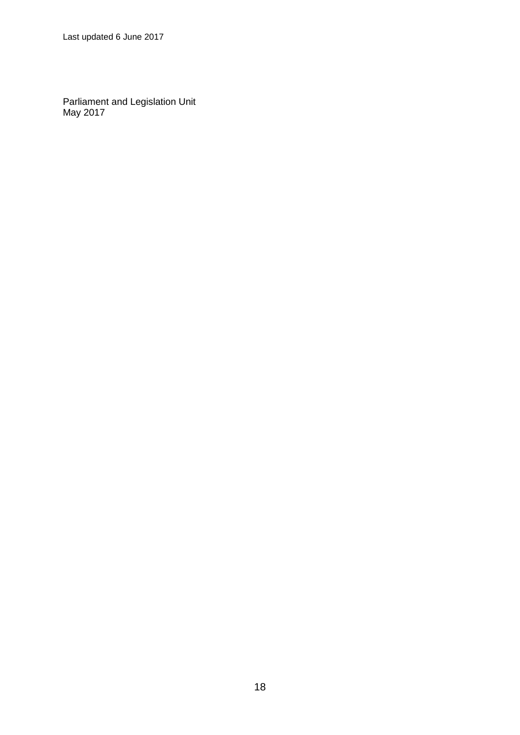Parliament and Legislation Unit May 2017